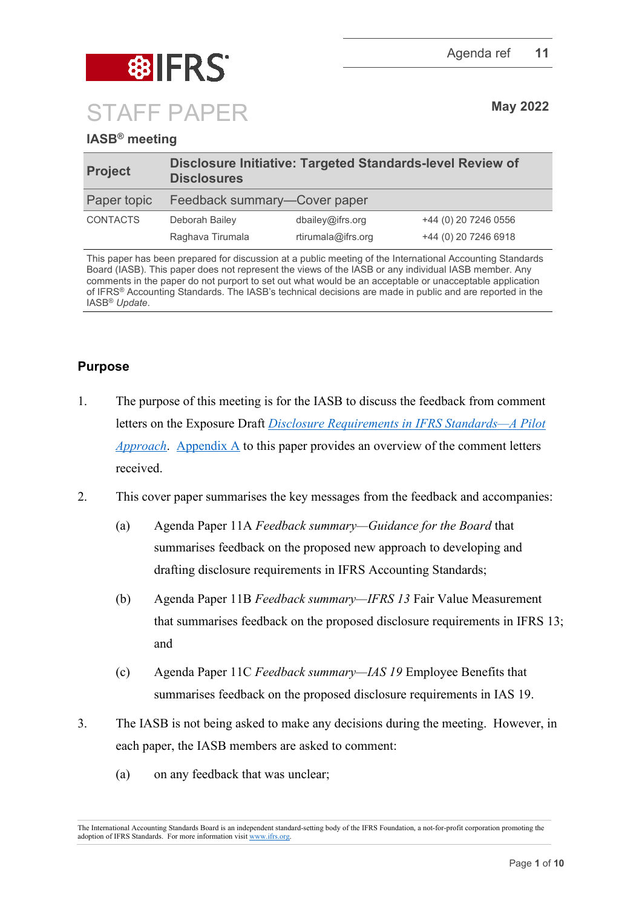

# **IASB® meeting**

| <b>Project</b>  | Disclosure Initiative: Targeted Standards-level Review of<br><b>Disclosures</b> |                    |                      |
|-----------------|---------------------------------------------------------------------------------|--------------------|----------------------|
| Paper topic     | Feedback summary-Cover paper                                                    |                    |                      |
| <b>CONTACTS</b> | Deborah Bailey                                                                  | dbailey@ifrs.org   | +44 (0) 20 7246 0556 |
|                 | Raghava Tirumala                                                                | rtirumala@ifrs.org | +44 (0) 20 7246 6918 |

This paper has been prepared for discussion at a public meeting of the International Accounting Standards Board (IASB). This paper does not represent the views of the IASB or any individual IASB member. Any comments in the paper do not purport to set out what would be an acceptable or unacceptable application of IFRS® Accounting Standards. The IASB's technical decisions are made in public and are reported in the IASB® *Update*.

# **Purpose**

- 1. The purpose of this meeting is for the IASB to discuss the feedback from comment letters on the Exposure Draft *[Disclosure Requirements in IFRS Standards—A Pilot](https://www.ifrs.org/content/dam/ifrs/project/disclosure-initative/disclosure-initiative-principles-of-disclosure/ed2021-3-di-tslr.pdf)  [Approach](https://www.ifrs.org/content/dam/ifrs/project/disclosure-initative/disclosure-initiative-principles-of-disclosure/ed2021-3-di-tslr.pdf)*. [Appendix](#page-6-0) A to this paper provides an overview of the comment letters received.
- 2. This cover paper summarises the key messages from the feedback and accompanies:
	- (a) Agenda Paper 11A *Feedback summary—Guidance for the Board* that summarises feedback on the proposed new approach to developing and drafting disclosure requirements in IFRS Accounting Standards;
	- (b) Agenda Paper 11B *Feedback summary—IFRS 13* Fair Value Measurement that summarises feedback on the proposed disclosure requirements in IFRS 13; and
	- (c) Agenda Paper 11C *Feedback summary—IAS 19* Employee Benefits that summarises feedback on the proposed disclosure requirements in IAS 19.
- 3. The IASB is not being asked to make any decisions during the meeting. However, in each paper, the IASB members are asked to comment:
	- (a) on any feedback that was unclear;

The International Accounting Standards Board is an independent standard-setting body of the IFRS Foundation, a not-for-profit corporation promoting the adoption of IFRS Standards. For more information visit [www.ifrs.org.](http://www.ifrs.org/)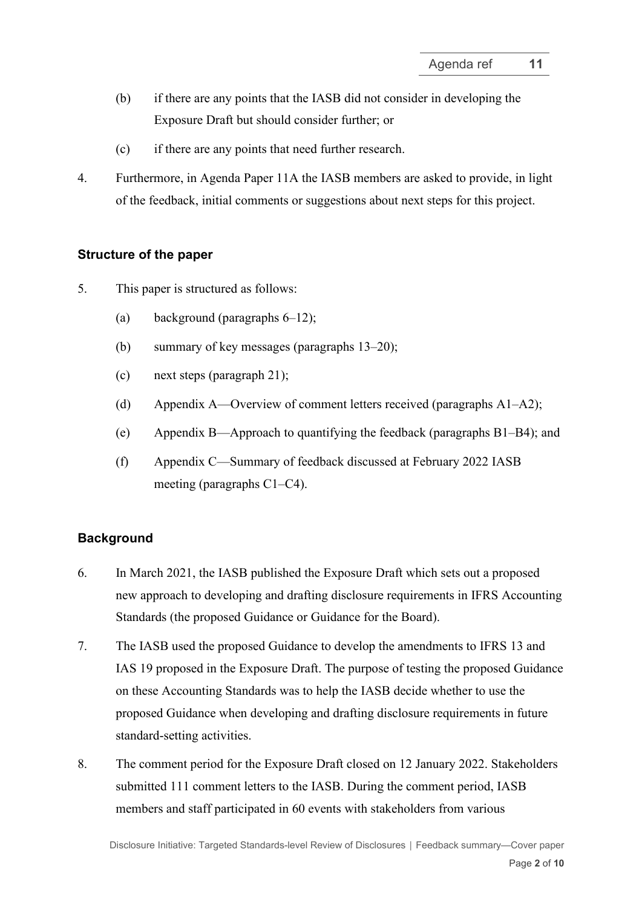- (b) if there are any points that the IASB did not consider in developing the Exposure Draft but should consider further; or
- (c) if there are any points that need further research.
- 4. Furthermore, in Agenda Paper 11A the IASB members are asked to provide, in light of the feedback, initial comments or suggestions about next steps for this project.

#### **Structure of the paper**

- 5. This paper is structured as follows:
	- (a) background (paragraphs [6](#page-1-0)[–12\)](#page-2-0);
	- (b) summary of key messages (paragraphs [13–](#page-3-0)[20\)](#page-5-0);
	- (c) next steps (paragraph [21\)](#page-5-1);
	- (d) Appendix A—Overview of comment letters received (paragraphs [A1](#page-6-1)[–A2\)](#page-7-0);
	- (e) Appendix B—Approach to quantifying the feedback (paragraphs [B1–](#page-8-0)[B4\)](#page-8-1); and
	- (f) Appendix C—Summary of feedback discussed at February 2022 IASB meeting (paragraphs [C1](#page-9-0)[–C4\)](#page-9-1).

### **Background**

- <span id="page-1-0"></span>6. In March 2021, the IASB published the Exposure Draft which sets out a proposed new approach to developing and drafting disclosure requirements in IFRS Accounting Standards (the proposed Guidance or Guidance for the Board).
- 7. The IASB used the proposed Guidance to develop the amendments to IFRS 13 and IAS 19 proposed in the Exposure Draft. The purpose of testing the proposed Guidance on these Accounting Standards was to help the IASB decide whether to use the proposed Guidance when developing and drafting disclosure requirements in future standard-setting activities.
- 8. The comment period for the Exposure Draft closed on 12 January 2022. Stakeholders submitted 111 comment letters to the IASB. During the comment period, IASB members and staff participated in 60 events with stakeholders from various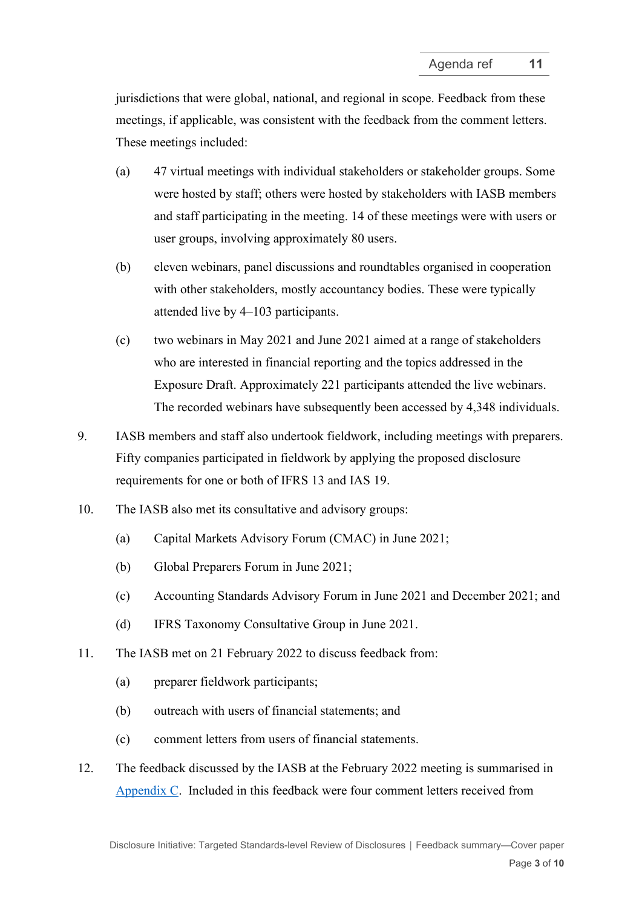jurisdictions that were global, national, and regional in scope. Feedback from these meetings, if applicable, was consistent with the feedback from the comment letters. These meetings included:

- (a) 47 virtual meetings with individual stakeholders or stakeholder groups. Some were hosted by staff; others were hosted by stakeholders with IASB members and staff participating in the meeting. 14 of these meetings were with users or user groups, involving approximately 80 users.
- (b) eleven webinars, panel discussions and roundtables organised in cooperation with other stakeholders, mostly accountancy bodies. These were typically attended live by 4–103 participants.
- (c) two webinars in May 2021 and June 2021 aimed at a range of stakeholders who are interested in financial reporting and the topics addressed in the Exposure Draft. Approximately 221 participants attended the live webinars. The recorded webinars have subsequently been accessed by 4,348 individuals.
- 9. IASB members and staff also undertook fieldwork, including meetings with preparers. Fifty companies participated in fieldwork by applying the proposed disclosure requirements for one or both of IFRS 13 and IAS 19.
- 10. The IASB also met its consultative and advisory groups:
	- (a) Capital Markets Advisory Forum (CMAC) in June 2021;
	- (b) Global Preparers Forum in June 2021;
	- (c) Accounting Standards Advisory Forum in June 2021 and December 2021; and
	- (d) IFRS Taxonomy Consultative Group in June 2021.
- 11. The IASB met on 21 February 2022 to discuss feedback from:
	- (a) preparer fieldwork participants;
	- (b) outreach with users of financial statements; and
	- (c) comment letters from users of financial statements.
- <span id="page-2-0"></span>12. The feedback discussed by the IASB at the February 2022 meeting is summarised in Appendix C. Included in this feedback were four comment letters received from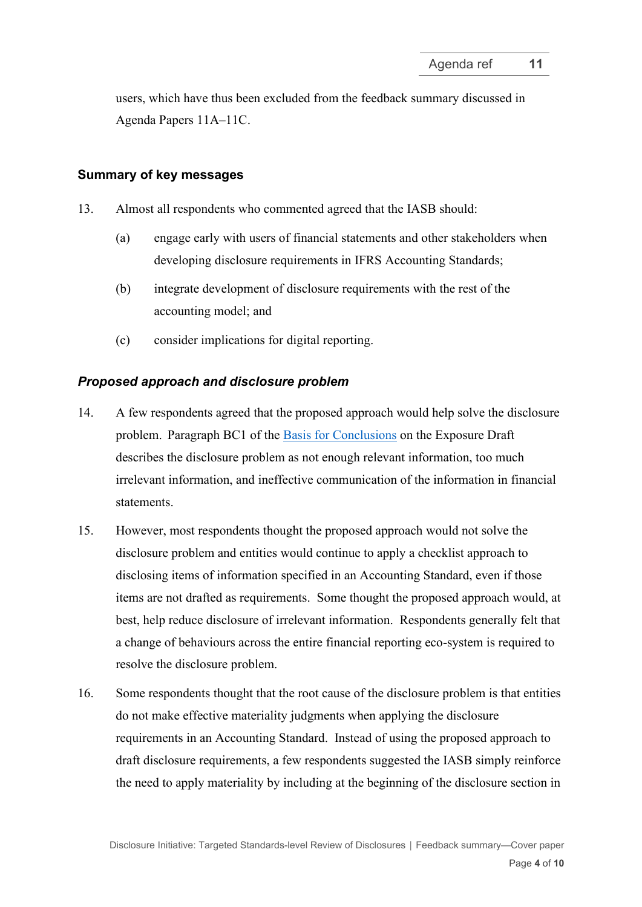users, which have thus been excluded from the feedback summary discussed in Agenda Papers 11A–11C.

## **Summary of key messages**

- <span id="page-3-0"></span>13. Almost all respondents who commented agreed that the IASB should:
	- (a) engage early with users of financial statements and other stakeholders when developing disclosure requirements in IFRS Accounting Standards;
	- (b) integrate development of disclosure requirements with the rest of the accounting model; and
	- (c) consider implications for digital reporting.

## *Proposed approach and disclosure problem*

- 14. A few respondents agreed that the proposed approach would help solve the disclosure problem. Paragraph BC1 of the [Basis for Conclusions](https://www.ifrs.org/content/dam/ifrs/project/disclosure-initative/disclosure-initiative-principles-of-disclosure/ed2021-3-bc-di-tslr.pdf) on the Exposure Draft describes the disclosure problem as not enough relevant information, too much irrelevant information, and ineffective communication of the information in financial statements.
- 15. However, most respondents thought the proposed approach would not solve the disclosure problem and entities would continue to apply a checklist approach to disclosing items of information specified in an Accounting Standard, even if those items are not drafted as requirements. Some thought the proposed approach would, at best, help reduce disclosure of irrelevant information. Respondents generally felt that a change of behaviours across the entire financial reporting eco-system is required to resolve the disclosure problem.
- 16. Some respondents thought that the root cause of the disclosure problem is that entities do not make effective materiality judgments when applying the disclosure requirements in an Accounting Standard. Instead of using the proposed approach to draft disclosure requirements, a few respondents suggested the IASB simply reinforce the need to apply materiality by including at the beginning of the disclosure section in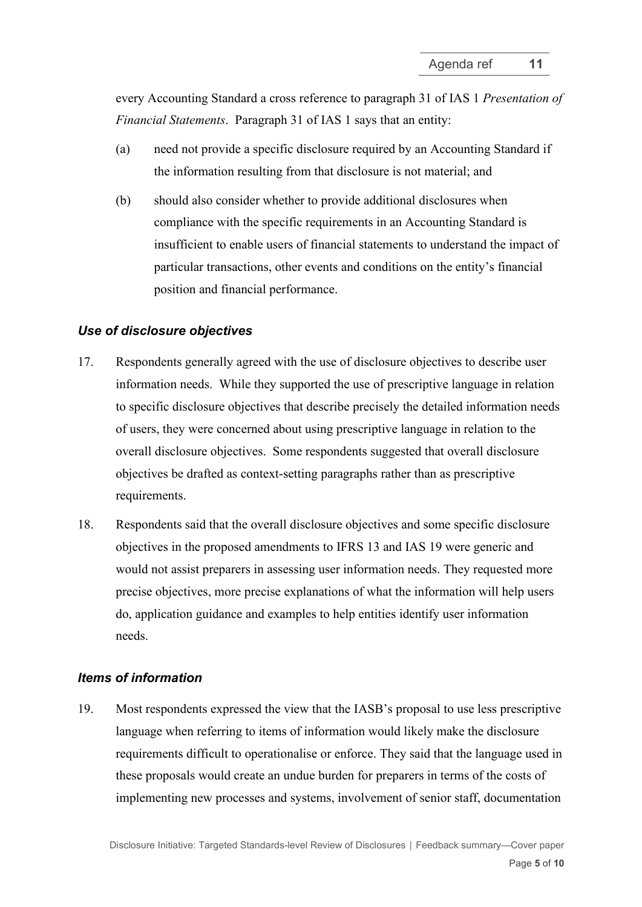every Accounting Standard a cross reference to paragraph 31 of IAS 1 *Presentation of Financial Statements*. Paragraph 31 of IAS 1 says that an entity:

- (a) need not provide a specific disclosure required by an Accounting Standard if the information resulting from that disclosure is not material; and
- (b) should also consider whether to provide additional disclosures when compliance with the specific requirements in an Accounting Standard is insufficient to enable users of financial statements to understand the impact of particular transactions, other events and conditions on the entity's financial position and financial performance.

#### *Use of disclosure objectives*

- 17. Respondents generally agreed with the use of disclosure objectives to describe user information needs. While they supported the use of prescriptive language in relation to specific disclosure objectives that describe precisely the detailed information needs of users, they were concerned about using prescriptive language in relation to the overall disclosure objectives. Some respondents suggested that overall disclosure objectives be drafted as context-setting paragraphs rather than as prescriptive requirements.
- 18. Respondents said that the overall disclosure objectives and some specific disclosure objectives in the proposed amendments to IFRS 13 and IAS 19 were generic and would not assist preparers in assessing user information needs. They requested more precise objectives, more precise explanations of what the information will help users do, application guidance and examples to help entities identify user information needs.

### *Items of information*

19. Most respondents expressed the view that the IASB's proposal to use less prescriptive language when referring to items of information would likely make the disclosure requirements difficult to operationalise or enforce. They said that the language used in these proposals would create an undue burden for preparers in terms of the costs of implementing new processes and systems, involvement of senior staff, documentation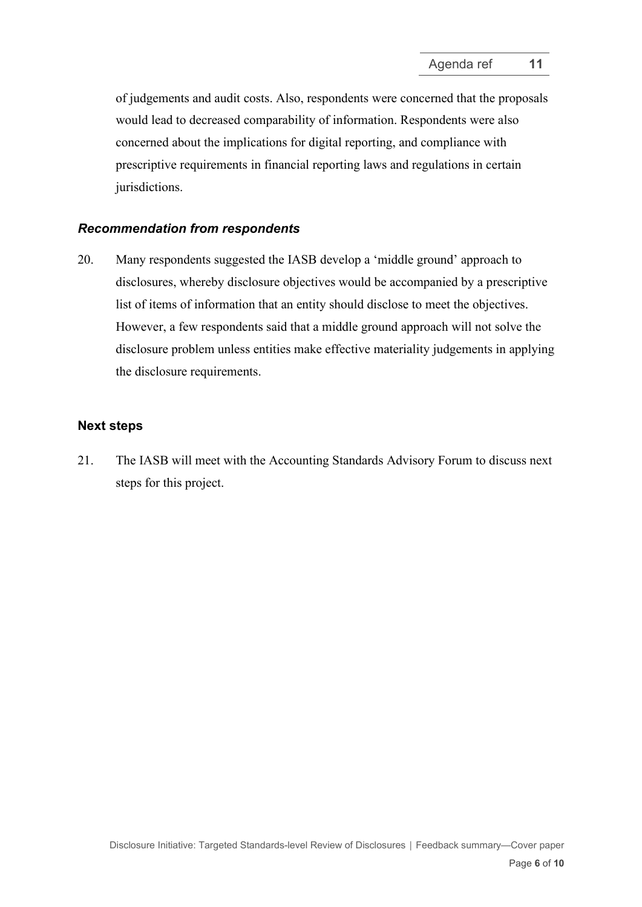of judgements and audit costs. Also, respondents were concerned that the proposals would lead to decreased comparability of information. Respondents were also concerned about the implications for digital reporting, and compliance with prescriptive requirements in financial reporting laws and regulations in certain jurisdictions.

#### *Recommendation from respondents*

<span id="page-5-0"></span>20. Many respondents suggested the IASB develop a 'middle ground' approach to disclosures, whereby disclosure objectives would be accompanied by a prescriptive list of items of information that an entity should disclose to meet the objectives. However, a few respondents said that a middle ground approach will not solve the disclosure problem unless entities make effective materiality judgements in applying the disclosure requirements.

#### **Next steps**

<span id="page-5-1"></span>21. The IASB will meet with the Accounting Standards Advisory Forum to discuss next steps for this project.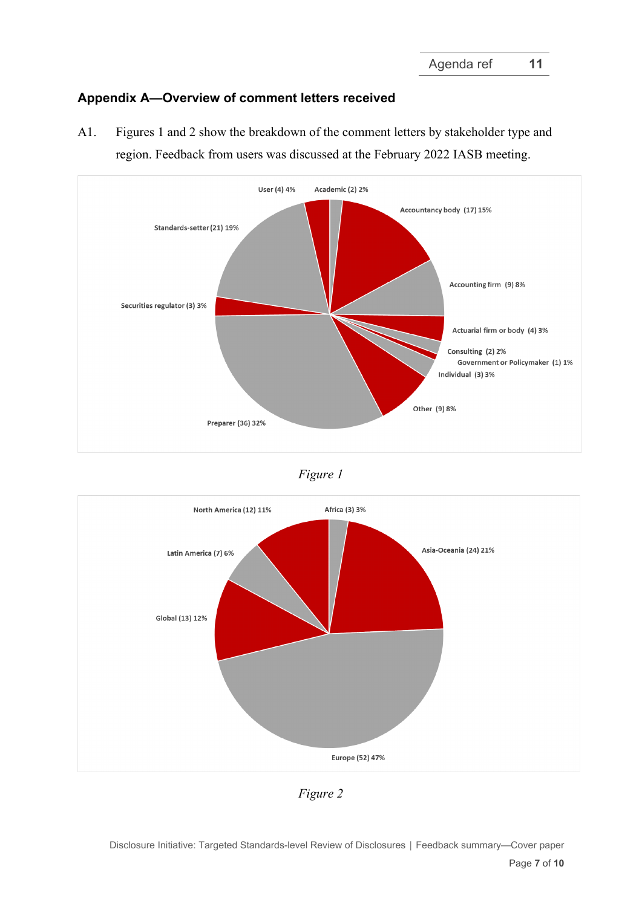# <span id="page-6-0"></span>**Appendix A—Overview of comment letters received**

<span id="page-6-1"></span>A1. Figures 1 and 2 show the breakdown of the comment letters by stakeholder type and region. Feedback from users was discussed at the February 2022 IASB meeting.



*Figure 1*



*Figure 2*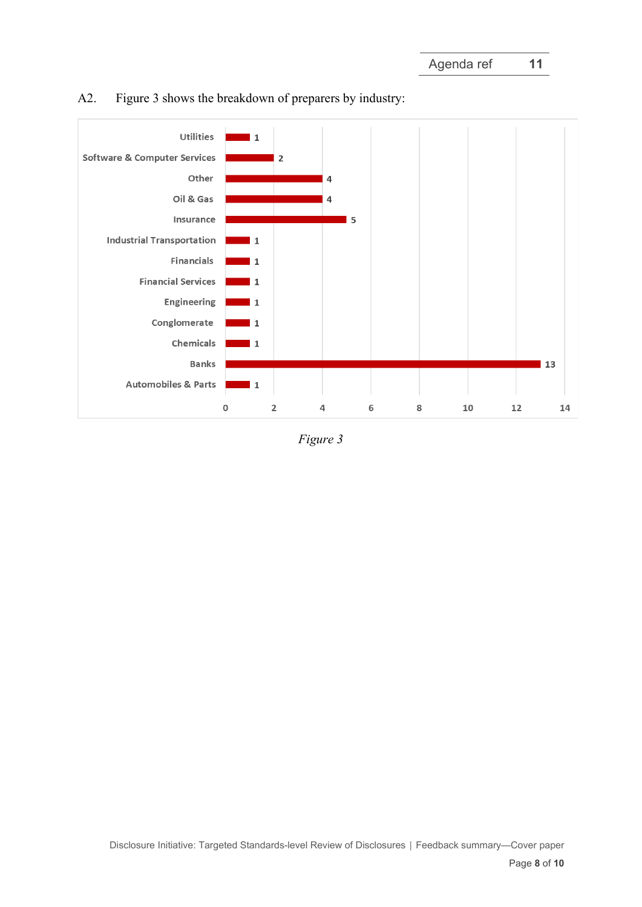

# <span id="page-7-0"></span>A2. Figure 3 shows the breakdown of preparers by industry:

*Figure 3*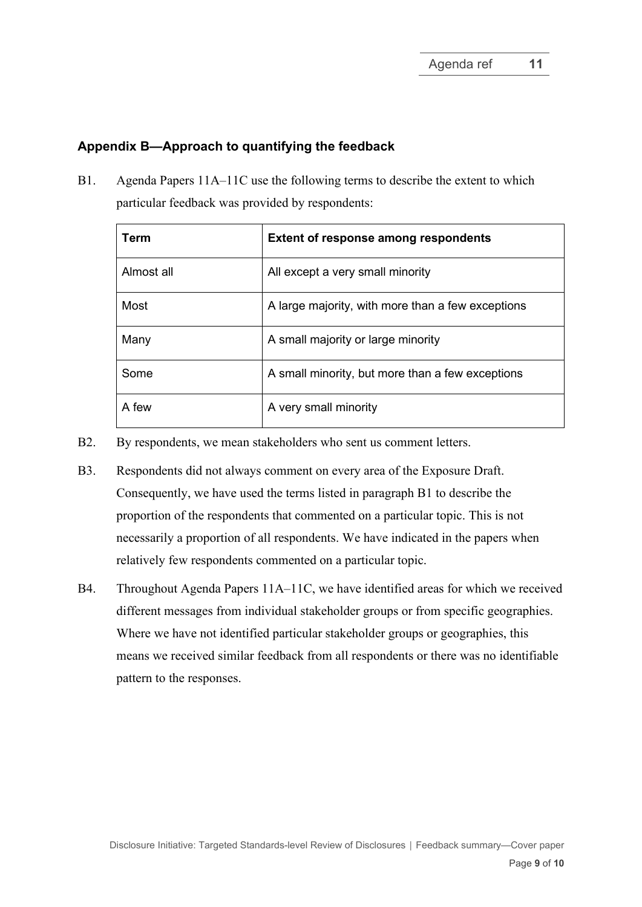## **Appendix B—Approach to quantifying the feedback**

<span id="page-8-0"></span>B1. Agenda Papers 11A–11C use the following terms to describe the extent to which particular feedback was provided by respondents:

| Term       | <b>Extent of response among respondents</b>       |
|------------|---------------------------------------------------|
| Almost all | All except a very small minority                  |
| Most       | A large majority, with more than a few exceptions |
| Many       | A small majority or large minority                |
| Some       | A small minority, but more than a few exceptions  |
| A few      | A very small minority                             |

- B2. By respondents, we mean stakeholders who sent us comment letters.
- B3. Respondents did not always comment on every area of the Exposure Draft. Consequently, we have used the terms listed in paragraph [B1](#page-8-0) to describe the proportion of the respondents that commented on a particular topic. This is not necessarily a proportion of all respondents. We have indicated in the papers when relatively few respondents commented on a particular topic.
- <span id="page-8-1"></span>B4. Throughout Agenda Papers 11A–11C, we have identified areas for which we received different messages from individual stakeholder groups or from specific geographies. Where we have not identified particular stakeholder groups or geographies, this means we received similar feedback from all respondents or there was no identifiable pattern to the responses.